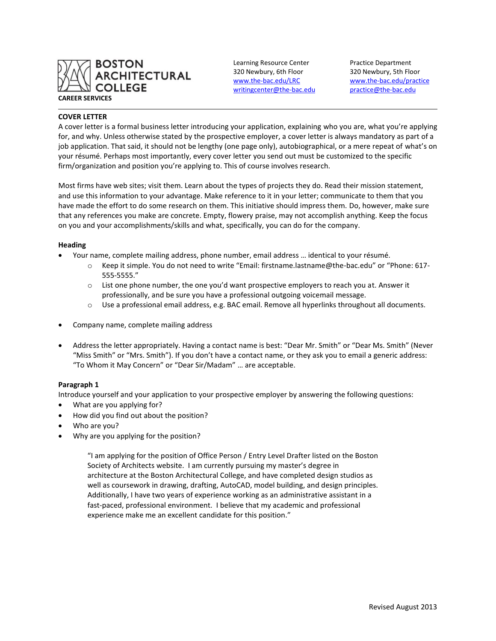

Learning Resource Center Practice Department 320 Newbury, 6th Floor 320 Newbury, 5th Floor [writingcenter@the-bac.edu](mailto:writingcenter@the-bac.edu) [practice@the-bac.edu](mailto:practice@the-bac.edu)

[www.the-bac.edu/LRC](http://www.the-bac.edu/LRC) [www.the-bac.edu/practice](http://www.the-bac.edu/practice)

## **COVER LETTER**

A cover letter is a formal business letter introducing your application, explaining who you are, what you're applying for, and why. Unless otherwise stated by the prospective employer, a cover letter is always mandatory as part of a job application. That said, it should not be lengthy (one page only), autobiographical, or a mere repeat of what's on your résumé. Perhaps most importantly, every cover letter you send out must be customized to the specific firm/organization and position you're applying to. This of course involves research.

Most firms have web sites; visit them. Learn about the types of projects they do. Read their mission statement, and use this information to your advantage. Make reference to it in your letter; communicate to them that you have made the effort to do some research on them. This initiative should impress them. Do, however, make sure that any references you make are concrete. Empty, flowery praise, may not accomplish anything. Keep the focus on you and your accomplishments/skills and what, specifically, you can do for the company.

#### **Heading**

- Your name, complete mailing address, phone number, email address … identical to your résumé.
	- o Keep it simple. You do not need to write "Email: firstname.lastname@the-bac.edu" or "Phone: 617- 555-5555."
	- $\circ$  List one phone number, the one you'd want prospective employers to reach you at. Answer it professionally, and be sure you have a professional outgoing voicemail message.
	- $\circ$  Use a professional email address, e.g. BAC email. Remove all hyperlinks throughout all documents.
- Company name, complete mailing address
- Address the letter appropriately. Having a contact name is best: "Dear Mr. Smith" or "Dear Ms. Smith" (Never "Miss Smith" or "Mrs. Smith"). If you don't have a contact name, or they ask you to email a generic address: "To Whom it May Concern" or "Dear Sir/Madam" … are acceptable.

#### **Paragraph 1**

Introduce yourself and your application to your prospective employer by answering the following questions:

- What are you applying for?
- How did you find out about the position?
- Who are you?
- Why are you applying for the position?

"I am applying for the position of Office Person / Entry Level Drafter listed on the Boston Society of Architects website. I am currently pursuing my master's degree in architecture at the Boston Architectural College, and have completed design studios as well as coursework in drawing, drafting, AutoCAD, model building, and design principles. Additionally, I have two years of experience working as an administrative assistant in a fast-paced, professional environment. I believe that my academic and professional experience make me an excellent candidate for this position."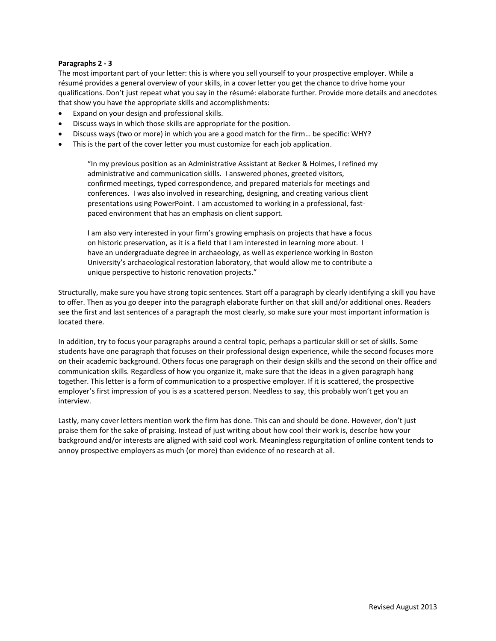## **Paragraphs 2 - 3**

The most important part of your letter: this is where you sell yourself to your prospective employer. While a résumé provides a general overview of your skills, in a cover letter you get the chance to drive home your qualifications. Don't just repeat what you say in the résumé: elaborate further. Provide more details and anecdotes that show you have the appropriate skills and accomplishments:

- Expand on your design and professional skills.
- Discuss ways in which those skills are appropriate for the position.
- Discuss ways (two or more) in which you are a good match for the firm… be specific: WHY?
- This is the part of the cover letter you must customize for each job application.

"In my previous position as an Administrative Assistant at Becker & Holmes, I refined my administrative and communication skills. I answered phones, greeted visitors, confirmed meetings, typed correspondence, and prepared materials for meetings and conferences. I was also involved in researching, designing, and creating various client presentations using PowerPoint. I am accustomed to working in a professional, fastpaced environment that has an emphasis on client support.

I am also very interested in your firm's growing emphasis on projects that have a focus on historic preservation, as it is a field that I am interested in learning more about. I have an undergraduate degree in archaeology, as well as experience working in Boston University's archaeological restoration laboratory, that would allow me to contribute a unique perspective to historic renovation projects."

Structurally, make sure you have strong topic sentences. Start off a paragraph by clearly identifying a skill you have to offer. Then as you go deeper into the paragraph elaborate further on that skill and/or additional ones. Readers see the first and last sentences of a paragraph the most clearly, so make sure your most important information is located there.

In addition, try to focus your paragraphs around a central topic, perhaps a particular skill or set of skills. Some students have one paragraph that focuses on their professional design experience, while the second focuses more on their academic background. Others focus one paragraph on their design skills and the second on their office and communication skills. Regardless of how you organize it, make sure that the ideas in a given paragraph hang together. This letter is a form of communication to a prospective employer. If it is scattered, the prospective employer's first impression of you is as a scattered person. Needless to say, this probably won't get you an interview.

Lastly, many cover letters mention work the firm has done. This can and should be done. However, don't just praise them for the sake of praising. Instead of just writing about how cool their work is, describe how your background and/or interests are aligned with said cool work. Meaningless regurgitation of online content tends to annoy prospective employers as much (or more) than evidence of no research at all.